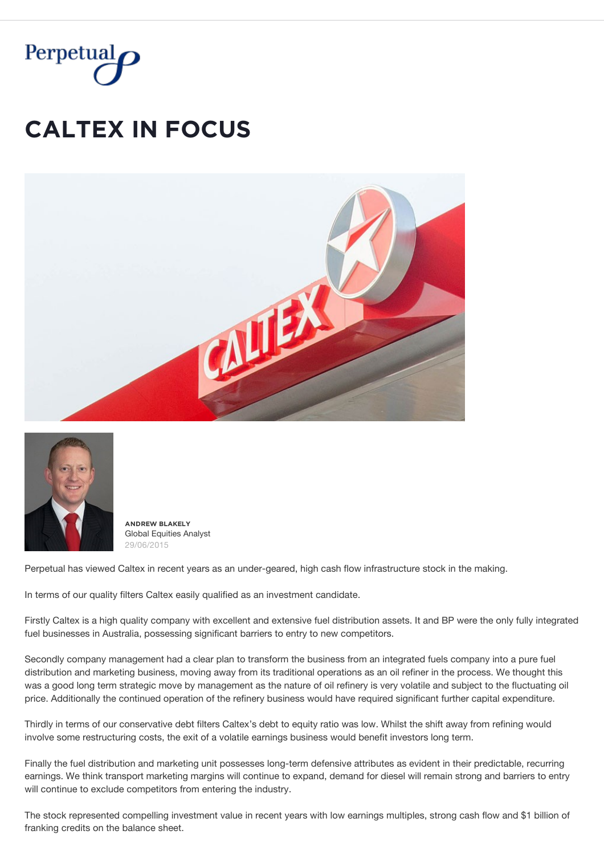

## **CALTEX IN FOCUS**





 $\triangle$ **NDREW BLAKELY** Global Equities Analyst 29/06/2015

Perpetual has viewed Caltex in recent years as an under-geared, high cash flow infrastructure stock in the making.

In terms of our quality filters Caltex easily qualified as an investment candidate.

Firstly Caltex is a high quality company with excellent and extensive fuel distribution assets. It and BP were the only fully integrated fuel businesses in Australia, possessing significant barriers to entry to new competitors.

Secondly company management had a clear plan to transform the business from an integrated fuels company into a pure fuel distribution and marketing business, moving away from its traditional operations as an oil refiner in the process. We thought this was a good long term strategic move by management as the nature of oil refinery is very volatile and subject to the fluctuating oil price. Additionally the continued operation of the refinery business would have required significant further capital expenditure.

Thirdly in terms of our conservative debt filters Caltex's debt to equity ratio was low. Whilst the shift away from refining would involve some restructuring costs, the exit of a volatile earnings business would benefit investors long term.

Finally the fuel distribution and marketing unit possesses long-term defensive attributes as evident in their predictable, recurring earnings. We think transport marketing margins will continue to expand, demand for diesel will remain strong and barriers to entry will continue to exclude competitors from entering the industry.

The stock represented compelling investment value in recent years with low earnings multiples, strong cash flow and \$1 billion of franking credits on the balance sheet.